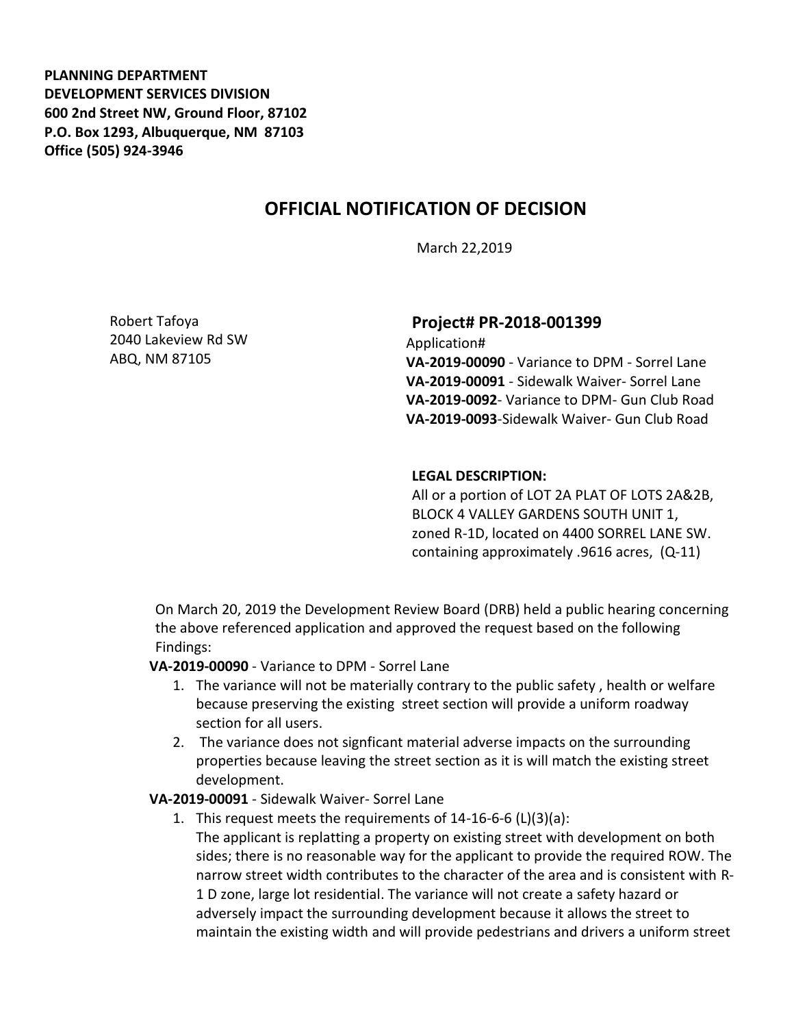**PLANNING DEPARTMENT DEVELOPMENT SERVICES DIVISION 600 2nd Street NW, Ground Floor, 87102 P.O. Box 1293, Albuquerque, NM 87103 Office (505) 924-3946** 

# **OFFICIAL NOTIFICATION OF DECISION**

March 22,2019

Robert Tafoya 2040 Lakeview Rd SW ABQ, NM 87105

### **Project# PR-2018-001399**

Application# **VA-2019-00090** - Variance to DPM - Sorrel Lane **VA-2019-00091** - Sidewalk Waiver- Sorrel Lane **VA-2019-0092**- Variance to DPM- Gun Club Road **VA-2019-0093**-Sidewalk Waiver- Gun Club Road

#### **LEGAL DESCRIPTION:**

All or a portion of LOT 2A PLAT OF LOTS 2A&2B, BLOCK 4 VALLEY GARDENS SOUTH UNIT 1, zoned R-1D, located on 4400 SORREL LANE SW. containing approximately .9616 acres, (Q-11)

On March 20, 2019 the Development Review Board (DRB) held a public hearing concerning the above referenced application and approved the request based on the following Findings:

**VA-2019-00090** - Variance to DPM - Sorrel Lane

- 1. The variance will not be materially contrary to the public safety , health or welfare because preserving the existing street section will provide a uniform roadway section for all users.
- 2. The variance does not signficant material adverse impacts on the surrounding properties because leaving the street section as it is will match the existing street development.

### **VA-2019-00091** - Sidewalk Waiver- Sorrel Lane

1. This request meets the requirements of 14-16-6-6 (L)(3)(a): The applicant is replatting a property on existing street with development on both sides; there is no reasonable way for the applicant to provide the required ROW. The narrow street width contributes to the character of the area and is consistent with R-1 D zone, large lot residential. The variance will not create a safety hazard or adversely impact the surrounding development because it allows the street to maintain the existing width and will provide pedestrians and drivers a uniform street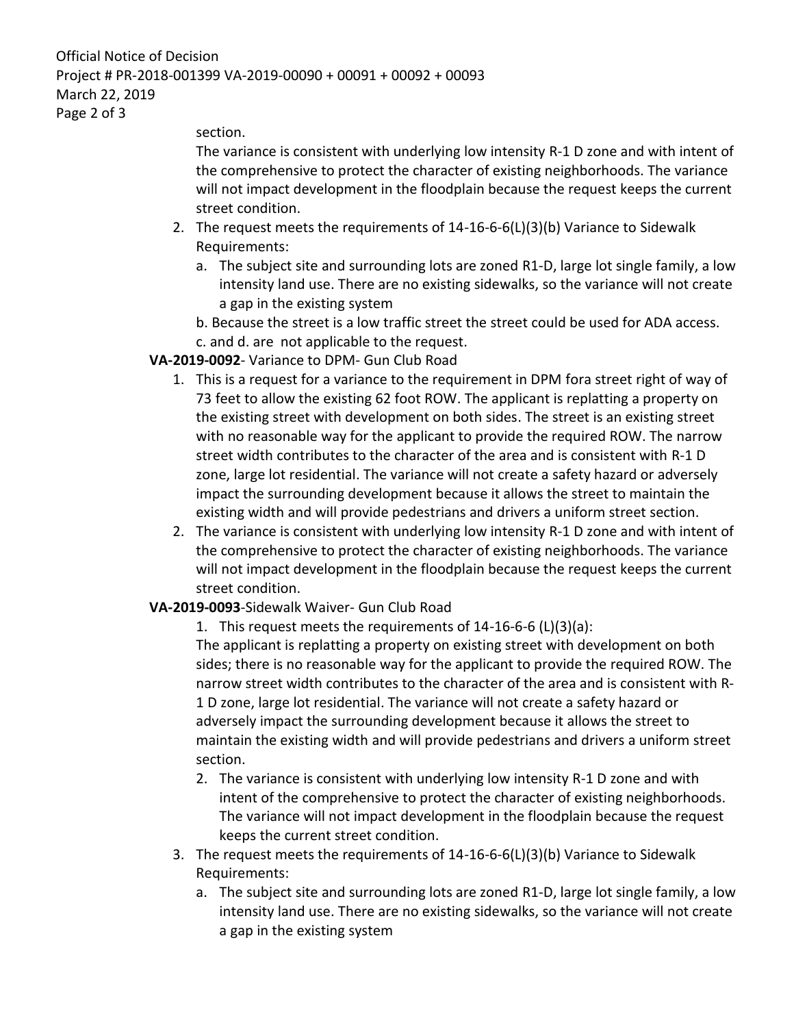Official Notice of Decision Project # PR-2018-001399 VA-2019-00090 + 00091 + 00092 + 00093 March 22, 2019 Page 2 of 3

section.

The variance is consistent with underlying low intensity R-1 D zone and with intent of the comprehensive to protect the character of existing neighborhoods. The variance will not impact development in the floodplain because the request keeps the current street condition.

- 2. The request meets the requirements of 14-16-6-6(L)(3)(b) Variance to Sidewalk Requirements:
	- a. The subject site and surrounding lots are zoned R1-D, large lot single family, a low intensity land use. There are no existing sidewalks, so the variance will not create a gap in the existing system
	- b. Because the street is a low traffic street the street could be used for ADA access.
- c. and d. are not applicable to the request.

## **VA-2019-0092**- Variance to DPM- Gun Club Road

- 1. This is a request for a variance to the requirement in DPM fora street right of way of 73 feet to allow the existing 62 foot ROW. The applicant is replatting a property on the existing street with development on both sides. The street is an existing street with no reasonable way for the applicant to provide the required ROW. The narrow street width contributes to the character of the area and is consistent with R-1 D zone, large lot residential. The variance will not create a safety hazard or adversely impact the surrounding development because it allows the street to maintain the existing width and will provide pedestrians and drivers a uniform street section.
- 2. The variance is consistent with underlying low intensity R-1 D zone and with intent of the comprehensive to protect the character of existing neighborhoods. The variance will not impact development in the floodplain because the request keeps the current street condition.

## **VA-2019-0093**-Sidewalk Waiver- Gun Club Road

1. This request meets the requirements of 14-16-6-6 (L)(3)(a): The applicant is replatting a property on existing street with development on both sides; there is no reasonable way for the applicant to provide the required ROW. The narrow street width contributes to the character of the area and is consistent with R-1 D zone, large lot residential. The variance will not create a safety hazard or adversely impact the surrounding development because it allows the street to maintain the existing width and will provide pedestrians and drivers a uniform street section.

- 2. The variance is consistent with underlying low intensity R-1 D zone and with intent of the comprehensive to protect the character of existing neighborhoods. The variance will not impact development in the floodplain because the request keeps the current street condition.
- 3. The request meets the requirements of 14-16-6-6(L)(3)(b) Variance to Sidewalk Requirements:
	- a. The subject site and surrounding lots are zoned R1-D, large lot single family, a low intensity land use. There are no existing sidewalks, so the variance will not create a gap in the existing system